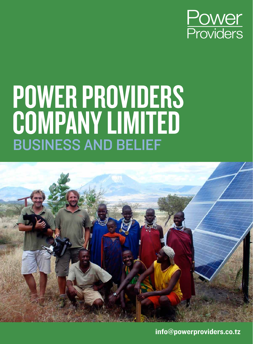

# Power Providers COMPANY LIMITED Business and belief



info@powerproviders.co.tz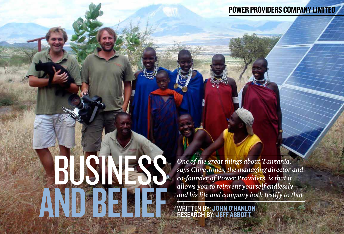and belief

*One of the great things about Tanzania, says Clive Jones, the managing director and co-founder of Power Providers, is that it allows you to reinvent yourself endlessly and his life and company both testify to that*

written by: John O'Hanlon research by: Jeff Abbott

BUSINESS.

## Power Providers Company Limited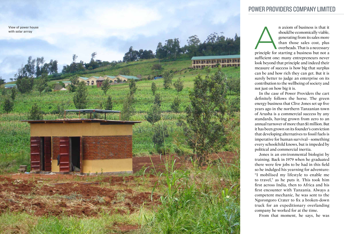

n axiom of business is that it<br>
should be economically viable,<br>
generating from its sales more<br>
than those sales cost, plus<br>
overheads. That is a necessary<br>
principle for starting a business but not a should be economically viable, generating from its sales more than those sales cost, plus overheads. That is a necessary

sufficient one: many entrepreneurs never look beyond that principle and indeed their measure of success is how big that surplus can be and how rich they can get. But it is surely better to judge an enterprise on its contribution to the wellbeing of society and not just on how big it is.

In the case of Power Providers the cart definitely follows the horse. The green energy business that Clive Jones set up five years ago in the northern Tanzanian town of Arusha is a commercial success by any standards, having grown from zero to an annual turnover of more than \$1 million. But it has been grown on its founder's conviction that developing alternatives to fossil fuels is imperative for human survival—something every schoolchild knows, but is impeded by political and commercial inertia.

Jones is an environmental biologist by training. Back in 1979 when he graduated there were few jobs to be had in this field so he indulged his yearning for adventure: "I mobilised my lifestyle to enable me to travel," as he puts it. This took him first across India, then to Africa and his first encounter with Tanzania. Always a competent mechanic, he was sent to the Ngorongoro Crater to fix a broken-down truck for an expeditionary overlanding company he worked for at the time.

From that moment, he says, he was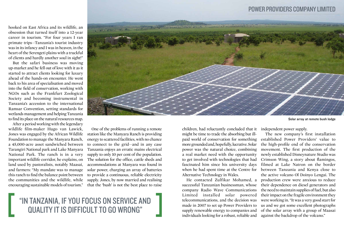### "In Tanzania, if you focus on service and quality it is difficult to go wrong"

hooked on East Africa and its wildlife, an obsession that turned itself into a 12-year career in tourism. "For four years I ran primate trips—Tanzania's tourist industry was in its infancy and I was in heaven, in the heart of the Serengeti plains with a truckful of clients and hardly another soul in sight!"

But the safari business was moving up-market and he fell out of love with it as it started to attract clients looking for luxury ahead of the hands-on encounter. He went back to his area of specialisation and moved into the field of conservation, working with NGOs such as the Frankfurt Zoological Society and becoming instrumental in Tanzania's accession to the international Ramsar Convention, setting standards for wetlands management and helping Tanzania to find its place on the natural resources map.

After a period working with the legendary wildlife film-maker Hugo van Lawick, Jones was engaged by the African Wildlife Foundation to manage the Manyara Ranch, a 45,000-acre asset sandwiched between Tarangiri National park and Lake Manyara National Park. The ranch is in a very important wildlife corridor, he explains, on land used by pastoralists, notably Maasai, and farmers: "My mandate was to manage this ranch to find the balance point between the communities and the wildlife, while encouraging sustainable models of tourism."



One of the problems of running a remote station like the Manyara Ranch is providing energy to scattered facilities, with no chance to connect to the grid—and in any case Tanzania enjoys an erratic mains electrical supply to only 10 per cent of the population. The solution for the office, cattle sheds and accommodations at Manyara was found in solar power, charging an array of batteries to provide a continuous, reliable electricity supply. Jones, by now married and realising that the 'bush' is not the best place to raise

children, had reluctantly concluded that it might be time to trade the absorbing but illpaid world of conservation for something more grounded and, hopefully, lucrative. Solar power was the natural choice, combining a real market need with the opportunity to get involved with technologies that had fascinated him since his university days when he had spent time at the Centre for Alternative Technology in Wales.

He contacted Zulfikar Mohamed, a successful Tanzanian businessman, whose company Radio Wave Communications Limited installed solar powered telecommunications, and the decision was made in 2007 to set up Power Providers to supply renewable energy to companies and individuals looking for a robust, reliable and

Solar array at remote bush lodge

#### Power Providers Company Limited

independent power supply.

The new company's first installation established Power Providers' value to the high-profile end of the conservation movement. The first production of the newly established Disneynature Studio was Crimson Wing, a story about flamingos, filmed at Lake Natron on the border between Tanzania and Kenya close to the active volcano Ol Doinyo Lengai. The production crew were anxious to reduce their dependence on diesel generators and the need to maintain supplies of fuel, but also their impact on the fragile environment they were working in. "It was a very good start for us and we got some excellent photographs of the solar array with a group of Maasai against the backdrop of the volcano."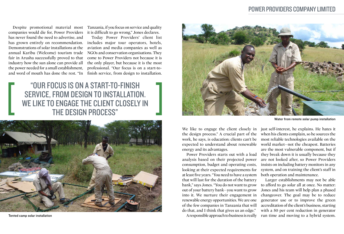#### "Our focus is on a start-to-finish service, from design to installation. WE LIKE TO ENGAGE THE CLIENT CLOSELY IN the design process"



Despite promotional material most companies would die for, Power Providers has never found the need to advertise, and has grown entirely on recommendation. Demonstrations of solar installations at the annual Karibu (Welcome) tourism trade fair in Arusha successfully proved to that industry how the sun alone can provide all the power needed for a small establishment, and word of mouth has done the rest. "In Tanzania, if you focus on service and quality it is difficult to go wrong," Jones declares.

Today Power Providers' client list includes major tour operators, hotels, aviation and media companies as well as NGOs and conservation organisations. They come to Power Providers not because it is the only player, but because it is the most professional. "Our focus is on a start-tofinish service, from design to installation.

Tented camp solar installation



We like to engage the client closely in the design process." A crucial part of the work, he says, is education: clients can't be expected to understand about renewable energy and its advantages.

Power Providers starts out with a load analysis based on their projected power consumption, budget and operating costs, looking at their expected requirements for at least five years. "You need to have a system that will last for the duration of the battery bank," says Jones. "You do not want to grow out of your battery bank—you want to grow into it. We nurture their engagement in renewable energy opportunities. We are one of the few companies in Tanzania that will do that, and I think that gives us an edge."

A responsible approach to business is really

just self-interest, he explains. He hates it when his clients complain, so he sources the most reliable technologies available on the world market—not the cheapest. Batteries are the most vulnerable component, but if they break down it is usually because they are not looked after, so Power Providers insists on including battery monitors in any system, and on training the client's staff in both operation and maintenance. Larger establishments may not be able to afford to go solar all at once. No matter: Jones and his team will help plan a phased changeover. The goal may be to reduce generator use or to improve the green accreditation of the client's business, starting with a 50 per cent reduction in generator run time and moving to a hybrid system.

Water from remote solar pump installation

#### Power Providers Company Limited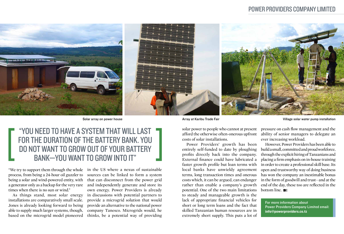

#### "YOU NEED TO HAVE A SYSTEM THAT WILL LAST for the duration of the battery bank. You do not want to grow out of your battery bank—you want to grow into it"

"We try to support them through the whole process, from being a 24-hour oil guzzler to being a solar and wind-powered entity, with a generator only as a backup for the very rare times when there is no sun or wind."

As things stand, most solar energy installations are comparatively small scale. Jones is already looking forward to being able to supply much larger systems, though, based on the microgrid model pioneered

in the US where a nexus of sustainable sources can be linked to form a system that can disconnect from the power grid and independently generate and store its own energy. Power Providers is already in discussions with potential partners to provide a microgrid solution that would provide an alternative to the national power company Tanesco. Microgrids would, he thinks, be a potential way of providing

However, Power Providers has been able to build a small, committed and proud workforce, through the explicit hiring of Tanzanians and placing a firm emphasis on in-house training in order to create a professional skill base. Its open and trustworthy way of doing business has won the company an inestimable bonus in the form of goodwill and trust—and at the end of the day, these too are reflected in the bottom line. **B** 

solar power to people who cannot at present afford the otherwise often-onerous upfront costs of solar installations.

Power Providers' growth has been entirely self-funded to date by ploughing profits directly back into the company. External finance could have lubricated a faster growth profile but loan terms with local banks have unwieldy agreement terms, long transaction times and onerous costs which, it can be argued, can endanger rather than enable a company's growth potential. One of the two main limitations to steady and manageable growth is the lack of appropriate financial vehicles for short or long term loans and the fact that skilled Tanzanian human resources are in extremely short supply. This puts a lot of

pressure on cash flow management and the ability of senior managers to delegate an ever increasing workload.

Solar array on power house Village solar water pump installation

#### Power Providers Company Limited

For more information about Power Providers Company Limited email: info@powerproviders.co.tz

Array at Karibu Trade Fair